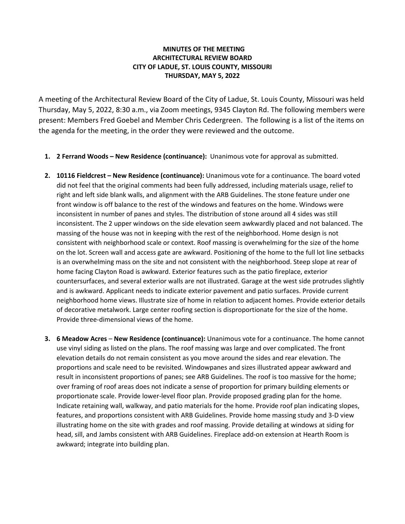## **MINUTES OF THE MEETING ARCHITECTURAL REVIEW BOARD CITY OF LADUE, ST. LOUIS COUNTY, MISSOURI THURSDAY, MAY 5, 2022**

A meeting of the Architectural Review Board of the City of Ladue, St. Louis County, Missouri was held Thursday, May 5, 2022, 8:30 a.m., via Zoom meetings, 9345 Clayton Rd. The following members were present: Members Fred Goebel and Member Chris Cedergreen. The following is a list of the items on the agenda for the meeting, in the order they were reviewed and the outcome.

- **1. 2 Ferrand Woods – New Residence (continuance):** Unanimous vote for approval as submitted.
- **2. 10116 Fieldcrest – New Residence (continuance):** Unanimous vote for a continuance. The board voted did not feel that the original comments had been fully addressed, including materials usage, relief to right and left side blank walls, and alignment with the ARB Guidelines. The stone feature under one front window is off balance to the rest of the windows and features on the home. Windows were inconsistent in number of panes and styles. The distribution of stone around all 4 sides was still inconsistent. The 2 upper windows on the side elevation seem awkwardly placed and not balanced. The massing of the house was not in keeping with the rest of the neighborhood. Home design is not consistent with neighborhood scale or context. Roof massing is overwhelming for the size of the home on the lot. Screen wall and access gate are awkward. Positioning of the home to the full lot line setbacks is an overwhelming mass on the site and not consistent with the neighborhood. Steep slope at rear of home facing Clayton Road is awkward. Exterior features such as the patio fireplace, exterior countersurfaces, and several exterior walls are not illustrated. Garage at the west side protrudes slightly and is awkward. Applicant needs to indicate exterior pavement and patio surfaces. Provide current neighborhood home views. Illustrate size of home in relation to adjacent homes. Provide exterior details of decorative metalwork. Large center roofing section is disproportionate for the size of the home. Provide three-dimensional views of the home.
- **3. 6 Meadow Acres New Residence (continuance):** Unanimous vote for a continuance. The home cannot use vinyl siding as listed on the plans. The roof massing was large and over complicated. The front elevation details do not remain consistent as you move around the sides and rear elevation. The proportions and scale need to be revisited. Windowpanes and sizes illustrated appear awkward and result in inconsistent proportions of panes; see ARB Guidelines. The roof is too massive for the home; over framing of roof areas does not indicate a sense of proportion for primary building elements or proportionate scale. Provide lower-level floor plan. Provide proposed grading plan for the home. Indicate retaining wall, walkway, and patio materials for the home. Provide roof plan indicating slopes, features, and proportions consistent with ARB Guidelines. Provide home massing study and 3-D view illustrating home on the site with grades and roof massing. Provide detailing at windows at siding for head, sill, and Jambs consistent with ARB Guidelines. Fireplace add-on extension at Hearth Room is awkward; integrate into building plan.